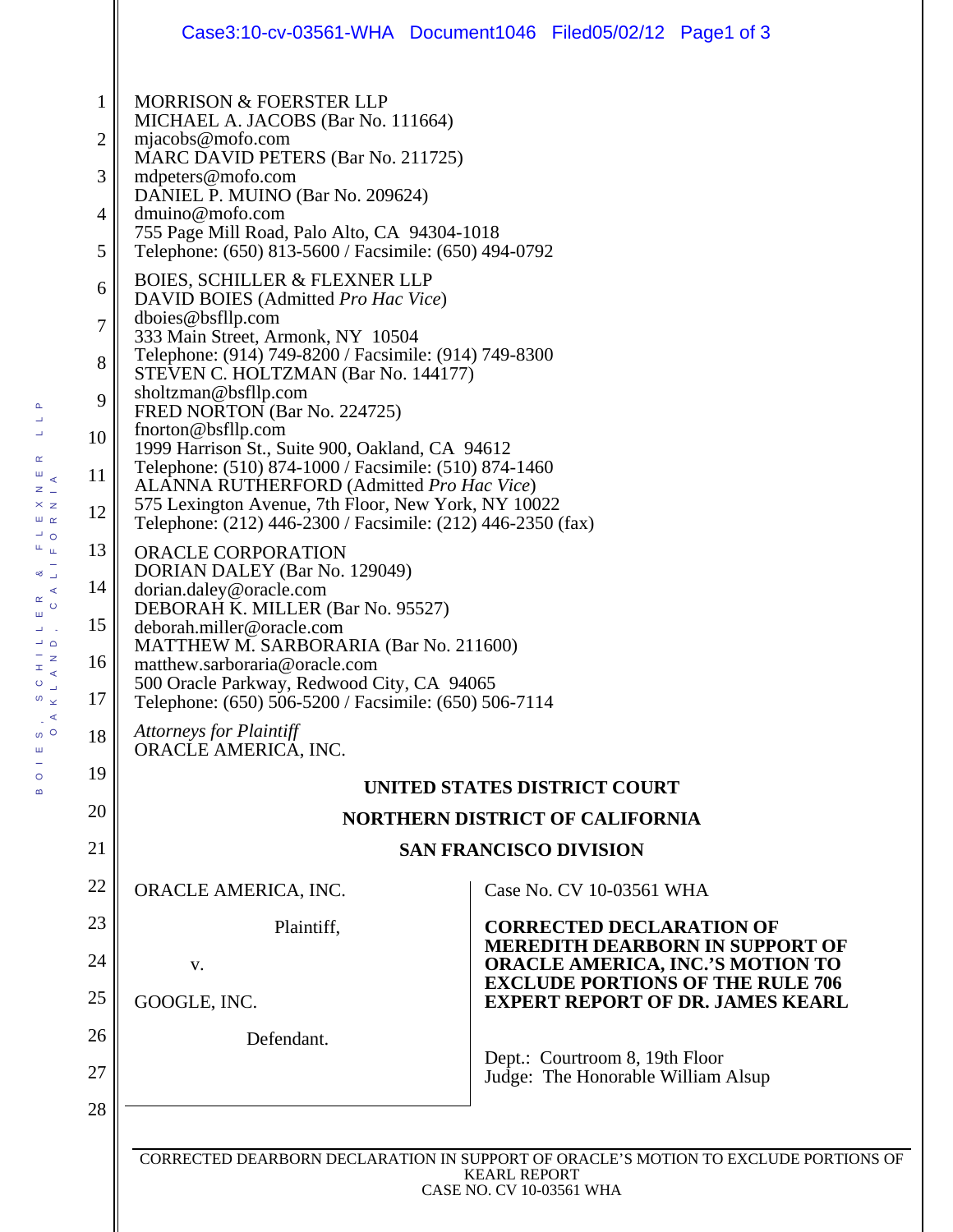| <b>MORRISON &amp; FOERSTER LLP</b><br>1<br>MICHAEL A. JACOBS (Bar No. 111664)<br>mjacobs@mofo.com<br>2<br>MARC DAVID PETERS (Bar No. 211725)<br>3<br>mdpeters@mofo.com<br>DANIEL P. MUINO (Bar No. 209624)<br>dmuino@mofo.com<br>4<br>755 Page Mill Road, Palo Alto, CA 94304-1018<br>5<br>Telephone: (650) 813-5600 / Facsimile: (650) 494-0792<br><b>BOIES, SCHILLER &amp; FLEXNER LLP</b><br>6<br>DAVID BOIES (Admitted Pro Hac Vice)<br>dboies@bsfllp.com<br>7<br>333 Main Street, Armonk, NY 10504<br>Telephone: (914) 749-8200 / Facsimile: (914) 749-8300<br>8<br>STEVEN C. HOLTZMAN (Bar No. 144177)<br>sholtzman@bsfllp.com<br>9<br>FRED NORTON (Bar No. 224725)<br>fnorton@bsfllp.com<br>10<br>1999 Harrison St., Suite 900, Oakland, CA 94612<br>Telephone: (510) 874-1000 / Facsimile: (510) 874-1460<br>11<br>ALANNA RUTHERFORD (Admitted Pro Hac Vice)<br>575 Lexington Avenue, 7th Floor, New York, NY 10022<br>12<br>Telephone: (212) 446-2300 / Facsimile: (212) 446-2350 (fax)<br>13<br>ORACLE CORPORATION<br>DORIAN DALEY (Bar No. 129049)<br>14<br>dorian.daley@oracle.com<br>DEBORAH K. MILLER (Bar No. 95527)<br>15<br>deborah.miller@oracle.com<br>MATTHEW M. SARBORARIA (Bar No. 211600)<br>16<br>matthew.sarboraria@oracle.com<br>500 Oracle Parkway, Redwood City, CA 94065<br>17<br>Telephone: (650) 506-5200 / Facsimile: (650) 506-7114<br><b>Attorneys for Plaintiff</b><br>18<br>ORACLE AMERICA, INC.<br>19<br>UNITED STATES DISTRICT COURT<br>20<br><b>NORTHERN DISTRICT OF CALIFORNIA</b><br>21<br><b>SAN FRANCISCO DIVISION</b><br>22<br>ORACLE AMERICA, INC.<br>Case No. CV 10-03561 WHA<br>23<br>Plaintiff,<br><b>CORRECTED DECLARATION OF</b><br><b>MEREDITH DEARBORN IN SUPPORT OF</b><br>24<br><b>ORACLE AMERICA, INC.'S MOTION TO</b><br>V.<br><b>EXCLUDE PORTIONS OF THE RULE 706</b><br>25<br>GOOGLE, INC.<br><b>EXPERT REPORT OF DR. JAMES KEARL</b><br>26<br>Defendant.<br>Dept.: Courtroom 8, 19th Floor<br>27<br>Judge: The Honorable William Alsup<br>28 | Case3:10-cv-03561-WHA Document1046 Filed05/02/12 Page1 of 3 |  |  |  |
|---------------------------------------------------------------------------------------------------------------------------------------------------------------------------------------------------------------------------------------------------------------------------------------------------------------------------------------------------------------------------------------------------------------------------------------------------------------------------------------------------------------------------------------------------------------------------------------------------------------------------------------------------------------------------------------------------------------------------------------------------------------------------------------------------------------------------------------------------------------------------------------------------------------------------------------------------------------------------------------------------------------------------------------------------------------------------------------------------------------------------------------------------------------------------------------------------------------------------------------------------------------------------------------------------------------------------------------------------------------------------------------------------------------------------------------------------------------------------------------------------------------------------------------------------------------------------------------------------------------------------------------------------------------------------------------------------------------------------------------------------------------------------------------------------------------------------------------------------------------------------------------------------------------------------------------------------------------------------------------------------------|-------------------------------------------------------------|--|--|--|
|                                                                                                                                                                                                                                                                                                                                                                                                                                                                                                                                                                                                                                                                                                                                                                                                                                                                                                                                                                                                                                                                                                                                                                                                                                                                                                                                                                                                                                                                                                                                                                                                                                                                                                                                                                                                                                                                                                                                                                                                         |                                                             |  |  |  |
|                                                                                                                                                                                                                                                                                                                                                                                                                                                                                                                                                                                                                                                                                                                                                                                                                                                                                                                                                                                                                                                                                                                                                                                                                                                                                                                                                                                                                                                                                                                                                                                                                                                                                                                                                                                                                                                                                                                                                                                                         |                                                             |  |  |  |
|                                                                                                                                                                                                                                                                                                                                                                                                                                                                                                                                                                                                                                                                                                                                                                                                                                                                                                                                                                                                                                                                                                                                                                                                                                                                                                                                                                                                                                                                                                                                                                                                                                                                                                                                                                                                                                                                                                                                                                                                         |                                                             |  |  |  |
|                                                                                                                                                                                                                                                                                                                                                                                                                                                                                                                                                                                                                                                                                                                                                                                                                                                                                                                                                                                                                                                                                                                                                                                                                                                                                                                                                                                                                                                                                                                                                                                                                                                                                                                                                                                                                                                                                                                                                                                                         |                                                             |  |  |  |
|                                                                                                                                                                                                                                                                                                                                                                                                                                                                                                                                                                                                                                                                                                                                                                                                                                                                                                                                                                                                                                                                                                                                                                                                                                                                                                                                                                                                                                                                                                                                                                                                                                                                                                                                                                                                                                                                                                                                                                                                         |                                                             |  |  |  |
|                                                                                                                                                                                                                                                                                                                                                                                                                                                                                                                                                                                                                                                                                                                                                                                                                                                                                                                                                                                                                                                                                                                                                                                                                                                                                                                                                                                                                                                                                                                                                                                                                                                                                                                                                                                                                                                                                                                                                                                                         |                                                             |  |  |  |
|                                                                                                                                                                                                                                                                                                                                                                                                                                                                                                                                                                                                                                                                                                                                                                                                                                                                                                                                                                                                                                                                                                                                                                                                                                                                                                                                                                                                                                                                                                                                                                                                                                                                                                                                                                                                                                                                                                                                                                                                         |                                                             |  |  |  |
|                                                                                                                                                                                                                                                                                                                                                                                                                                                                                                                                                                                                                                                                                                                                                                                                                                                                                                                                                                                                                                                                                                                                                                                                                                                                                                                                                                                                                                                                                                                                                                                                                                                                                                                                                                                                                                                                                                                                                                                                         |                                                             |  |  |  |
|                                                                                                                                                                                                                                                                                                                                                                                                                                                                                                                                                                                                                                                                                                                                                                                                                                                                                                                                                                                                                                                                                                                                                                                                                                                                                                                                                                                                                                                                                                                                                                                                                                                                                                                                                                                                                                                                                                                                                                                                         |                                                             |  |  |  |
|                                                                                                                                                                                                                                                                                                                                                                                                                                                                                                                                                                                                                                                                                                                                                                                                                                                                                                                                                                                                                                                                                                                                                                                                                                                                                                                                                                                                                                                                                                                                                                                                                                                                                                                                                                                                                                                                                                                                                                                                         |                                                             |  |  |  |
|                                                                                                                                                                                                                                                                                                                                                                                                                                                                                                                                                                                                                                                                                                                                                                                                                                                                                                                                                                                                                                                                                                                                                                                                                                                                                                                                                                                                                                                                                                                                                                                                                                                                                                                                                                                                                                                                                                                                                                                                         |                                                             |  |  |  |
|                                                                                                                                                                                                                                                                                                                                                                                                                                                                                                                                                                                                                                                                                                                                                                                                                                                                                                                                                                                                                                                                                                                                                                                                                                                                                                                                                                                                                                                                                                                                                                                                                                                                                                                                                                                                                                                                                                                                                                                                         |                                                             |  |  |  |
|                                                                                                                                                                                                                                                                                                                                                                                                                                                                                                                                                                                                                                                                                                                                                                                                                                                                                                                                                                                                                                                                                                                                                                                                                                                                                                                                                                                                                                                                                                                                                                                                                                                                                                                                                                                                                                                                                                                                                                                                         |                                                             |  |  |  |

CORRECTED DEARBORN DECLARATION IN SUPPORT OF ORACLE'S MOTION TO EXCLUDE PORTIONS OF KEARL REPORT CASE NO. CV 10-03561 WHA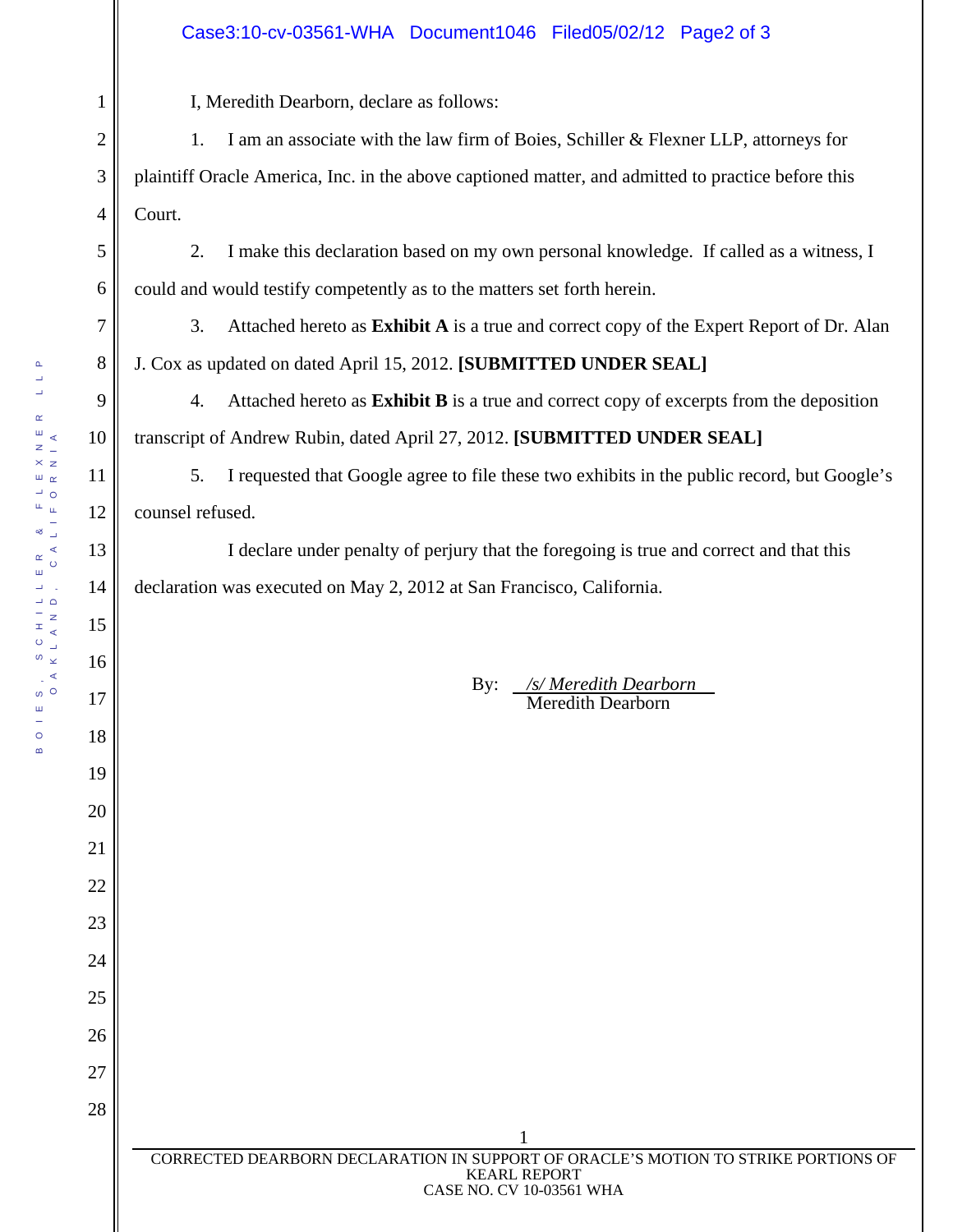## Case3:10-cv-03561-WHA Document1046 Filed05/02/12 Page2 of 3

I, Meredith Dearborn, declare as follows:

2 3 4 1. I am an associate with the law firm of Boies, Schiller & Flexner LLP, attorneys for plaintiff Oracle America, Inc. in the above captioned matter, and admitted to practice before this Court.

2. I make this declaration based on my own personal knowledge. If called as a witness, I could and would testify competently as to the matters set forth herein.

3. Attached hereto as **Exhibit A** is a true and correct copy of the Expert Report of Dr. Alan J. Cox as updated on dated April 15, 2012. **[SUBMITTED UNDER SEAL]**

4. Attached hereto as **Exhibit B** is a true and correct copy of excerpts from the deposition transcript of Andrew Rubin, dated April 27, 2012. **[SUBMITTED UNDER SEAL]**

5. I requested that Google agree to file these two exhibits in the public record, but Google's counsel refused.

 I declare under penalty of perjury that the foregoing is true and correct and that this declaration was executed on May 2, 2012 at San Francisco, California.

> By: */s/ Meredith Dearborn .* Meredith Dearborn

 $\Delta$ 

1

5

6

7

8

9

10

11

12

13

14

15

16

17

18

19

20

21

22

23

24

25

26

27

28